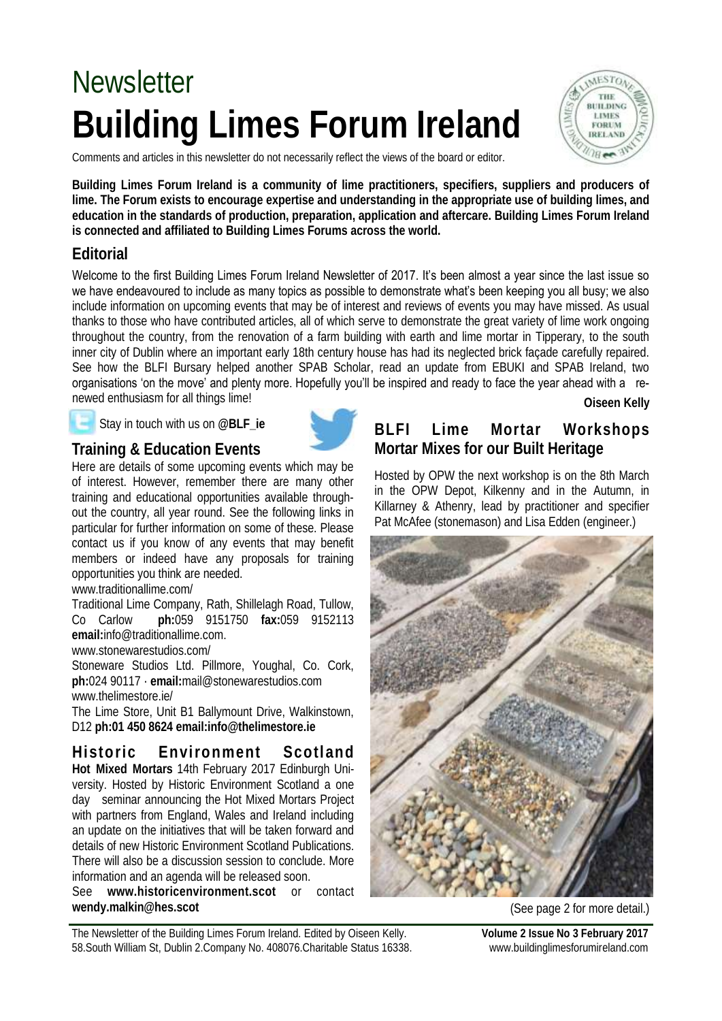# **Building Limes Forum Ireland**  Newsletter

Comments and articles in this newsletter do not necessarily reflect the views of the board or editor.

THE **BUILDING LIMES FORUM IRELAND**  $28$ 

**Building Limes Forum Ireland is a community of lime practitioners, specifiers, suppliers and producers of lime. The Forum exists to encourage expertise and understanding in the appropriate use of building limes, and education in the standards of production, preparation, application and aftercare. Building Limes Forum Ireland is connected and affiliated to Building Limes Forums across the world.**

#### **Editorial**

Welcome to the first Building Limes Forum Ireland Newsletter of 2017. It's been almost a year since the last issue so we have endeavoured to include as many topics as possible to demonstrate what's been keeping you all busy; we also include information on upcoming events that may be of interest and reviews of events you may have missed. As usual thanks to those who have contributed articles, all of which serve to demonstrate the great variety of lime work ongoing throughout the country, from the renovation of a farm building with earth and lime mortar in Tipperary, to the south inner city of Dublin where an important early 18th century house has had its neglected brick façade carefully repaired. See how the BLFI Bursary helped another SPAB Scholar, read an update from EBUKI and SPAB Ireland, two organisations ‗on the move' and plenty more. Hopefully you'll be inspired and ready to face the year ahead with a renewed enthusiasm for all things lime! **Oiseen Kelly**

### Stay in touch with us on **@BLF\_ie Training & Education Events**



[www.traditionallime.com/](http://www.traditionallime.com/)

Traditional Lime Company, Rath, Shillelagh Road, Tullow, Co Carlow **ph:**059 9151750 **fax:**059 9152113 **email:**info@traditionallime.com.

[www.stonewarestudios.com/](http://www.stonewarestudios.com/)

Stoneware Studios Ltd. Pillmore, Youghal, Co. Cork, **ph:**024 90117 · **email:**mail@stonewarestudios.com [www.thelimestore.ie/](http://www.thelimestore.ie/)

The Lime Store, Unit B1 Ballymount Drive, Walkinstown, D12 **ph[:01 450 8624](tel:014508624) email[:info@thelimestore.ie](mailto:info@thelimestore.ie)**

**Historic Environment Scotland Hot Mixed Mortars** 14th February 2017 Edinburgh University. Hosted by Historic Environment Scotland a one day seminar announcing the Hot Mixed Mortars Project with partners from England, Wales and Ireland including an update on the initiatives that will be taken forward and details of new Historic Environment Scotland Publications. There will also be a discussion session to conclude. More information and an agenda will be released soon.

See **[www.historicenvironment.scot](https://www.historicenvironment.scot)** or contact **[wendy.malkin@hes.scot](mailto:wendy.malkin@hes.scot)**

### **BLFI Lime Mortar Workshops Mortar Mixes for our Built Heritage**

Hosted by OPW the next workshop is on the 8th March in the OPW Depot, Kilkenny and in the Autumn, in Killarney & Athenry, lead by practitioner and specifier Pat McAfee (stonemason) and Lisa Edden (engineer.)



(See page 2 for more detail.)

The Newsletter of the Building Limes Forum Ireland. Edited by Oiseen Kelly. **Volume 2 Issue No 3 February 2017** 58.South William St, Dublin 2.Company No. 408076.Charitable Status 16338. www.buildinglimesforumireland.com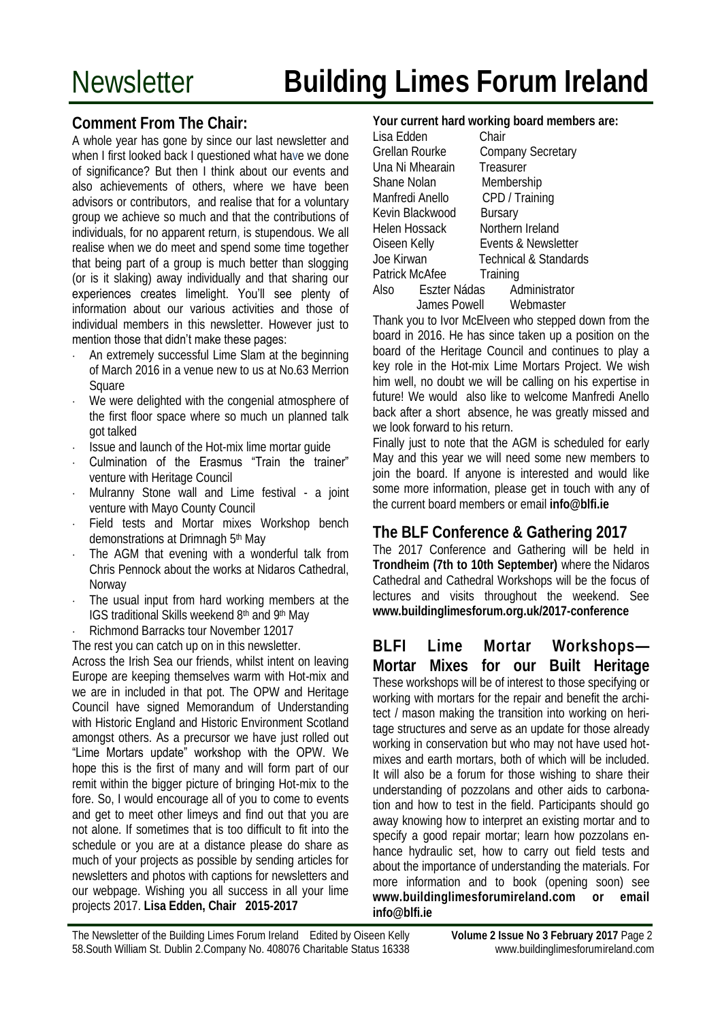#### **Comment From The Chair:**

A whole year has gone by since our last newsletter and when I first looked back I questioned what have we done of significance? But then I think about our events and also achievements of others, where we have been advisors or contributors, and realise that for a voluntary group we achieve so much and that the contributions of individuals, for no apparent return, is stupendous. We all realise when we do meet and spend some time together that being part of a group is much better than slogging (or is it slaking) away individually and that sharing our experiences creates limelight. You'll see plenty of information about our various activities and those of individual members in this newsletter. However just to mention those that didn't make these pages:

- An extremely successful Lime Slam at the beginning of March 2016 in a venue new to us at No.63 Merrion Square
- We were delighted with the congenial atmosphere of the first floor space where so much un planned talk got talked
- Issue and launch of the Hot-mix lime mortar guide
- Culmination of the Erasmus "Train the trainer" venture with Heritage Council
- Mulranny Stone wall and Lime festival a joint venture with Mayo County Council
- Field tests and Mortar mixes Workshop bench demonstrations at Drimnagh 5th May
- The AGM that evening with a wonderful talk from Chris Pennock about the works at Nidaros Cathedral, Norway
- The usual input from hard working members at the IGS traditional Skills weekend 8th and 9th May
- Richmond Barracks tour November 12017

The rest you can catch up on in this newsletter.

Across the Irish Sea our friends, whilst intent on leaving Europe are keeping themselves warm with Hot-mix and we are in included in that pot. The OPW and Heritage Council have signed Memorandum of Understanding with Historic England and Historic Environment Scotland amongst others. As a precursor we have just rolled out ―Lime Mortars update‖ workshop with the OPW. We hope this is the first of many and will form part of our remit within the bigger picture of bringing Hot-mix to the fore. So, I would encourage all of you to come to events and get to meet other limeys and find out that you are not alone. If sometimes that is too difficult to fit into the schedule or you are at a distance please do share as much of your projects as possible by sending articles for newsletters and photos with captions for newsletters and our webpage. Wishing you all success in all your lime projects 2017. **Lisa Edden, Chair 2015-2017**

**Your current hard working board members are:**

|                 | <b>Sar Sarront nara tronting board mombon</b> |
|-----------------|-----------------------------------------------|
| Lisa Edden      | Chair                                         |
| Grellan Rourke  | Company Secretary                             |
| Una Ni Mhearain | Treasurer                                     |
| Shane Nolan     | Membership                                    |
| Manfredi Anello | CPD / Training                                |
| Kevin Blackwood | <b>Bursary</b>                                |
| Helen Hossack   | Northern Ireland                              |
| Oiseen Kelly    | Events & Newsletter                           |
| Joe Kirwan      | <b>Technical &amp; Standards</b>              |
| Patrick McAfee  | Training                                      |
|                 | Also Eszter Nádas Administrator               |
|                 | James Powell Webmaster                        |

Thank you to Ivor McElveen who stepped down from the board in 2016. He has since taken up a position on the board of the Heritage Council and continues to play a key role in the Hot-mix Lime Mortars Project. We wish him well, no doubt we will be calling on his expertise in future! We would also like to welcome Manfredi Anello back after a short absence, he was greatly missed and we look forward to his return.

Finally just to note that the AGM is scheduled for early May and this year we will need some new members to join the board. If anyone is interested and would like some more information, please get in touch with any of the current board members or email **info@blfi.ie**

#### **The BLF Conference & Gathering 2017**

The 2017 Conference and Gathering will be held in **Trondheim (7th to 10th September)** where the Nidaros Cathedral and Cathedral Workshops will be the focus of lectures and visits throughout the weekend. See **www.buildinglimesforum.org.uk/2017-conference**

**BLFI Lime Mortar Workshops—** 

**Mortar Mixes for our Built Heritage**  These workshops will be of interest to those specifying or working with mortars for the repair and benefit the architect / mason making the transition into working on heritage structures and serve as an update for those already working in conservation but who may not have used hotmixes and earth mortars, both of which will be included. It will also be a forum for those wishing to share their understanding of pozzolans and other aids to carbonation and how to test in the field. Participants should go away knowing how to interpret an existing mortar and to specify a good repair mortar; learn how pozzolans enhance hydraulic set, how to carry out field tests and about the importance of understanding the materials. For more information and to book (opening soon) see **[www.buildinglimesforumireland.com](http://www.buildinglimesforumireland.com) or email info@blfi.ie**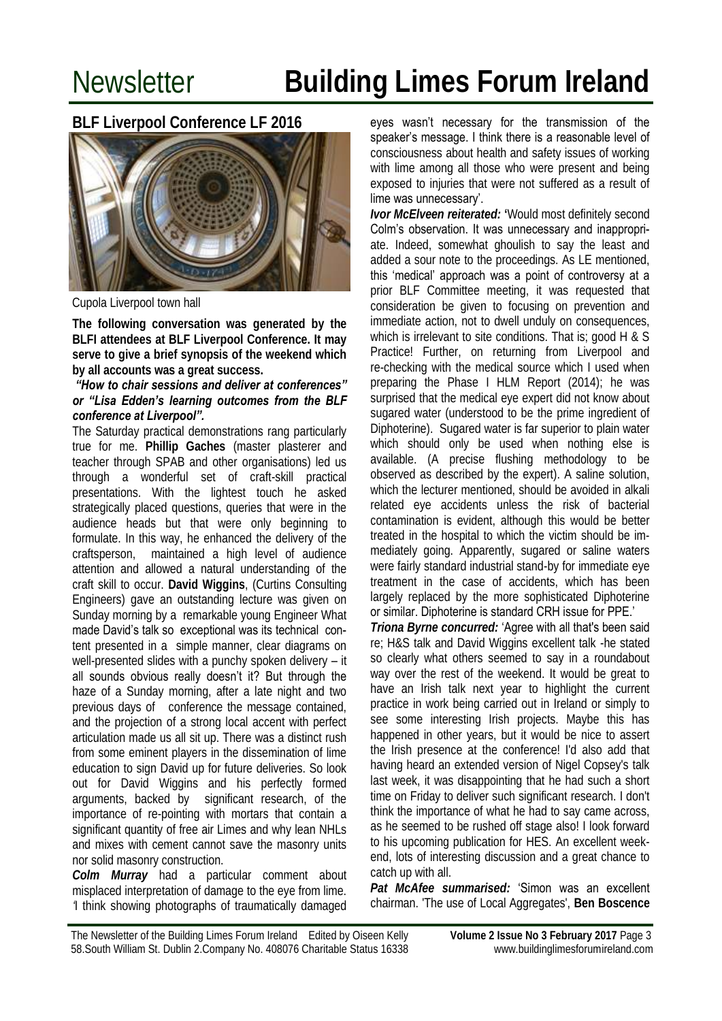**BLF Liverpool Conference LF 2016**



Cupola Liverpool town hall

**The following conversation was generated by the BLFI attendees at BLF Liverpool Conference. It may serve to give a brief synopsis of the weekend which by all accounts was a great success.** 

#### *"How to chair sessions and deliver at conferences" or "Lisa Edden's learning outcomes from the BLF conference at Liverpool".*

The Saturday practical demonstrations rang particularly true for me. **Phillip Gaches** (master plasterer and teacher through SPAB and other organisations) led us through a wonderful set of craft-skill practical presentations. With the lightest touch he asked strategically placed questions, queries that were in the audience heads but that were only beginning to formulate. In this way, he enhanced the delivery of the craftsperson, maintained a high level of audience attention and allowed a natural understanding of the craft skill to occur. **David Wiggins**, (Curtins Consulting Engineers) gave an outstanding lecture was given on Sunday morning by a remarkable young Engineer What made David's talk so exceptional was its technical content presented in a simple manner, clear diagrams on well-presented slides with a punchy spoken delivery – it all sounds obvious really doesn't it? But through the haze of a Sunday morning, after a late night and two previous days of conference the message contained, and the projection of a strong local accent with perfect articulation made us all sit up. There was a distinct rush from some eminent players in the dissemination of lime education to sign David up for future deliveries. So look out for David Wiggins and his perfectly formed arguments, backed by significant research, of the importance of re-pointing with mortars that contain a significant quantity of free air Limes and why lean NHLs and mixes with cement cannot save the masonry units nor solid masonry construction.

*Colm Murray* had a particular comment about misplaced interpretation of damage to the eye from lime. *'*I think showing photographs of traumatically damaged eyes wasn't necessary for the transmission of the speaker's message. I think there is a reasonable level of consciousness about health and safety issues of working with lime among all those who were present and being exposed to injuries that were not suffered as a result of lime was unnecessary'.

*Ivor McElveen reiterated:* **'**Would most definitely second Colm's observation. It was unnecessary and inappropriate. Indeed, somewhat ghoulish to say the least and added a sour note to the proceedings. As LE mentioned, this 'medical' approach was a point of controversy at a prior BLF Committee meeting, it was requested that consideration be given to focusing on prevention and immediate action, not to dwell unduly on consequences, which is irrelevant to site conditions. That is; good H & S Practice! Further, on returning from Liverpool and re-checking with the medical source which I used when preparing the Phase I HLM Report (2014); he was surprised that the medical eye expert did not know about sugared water (understood to be the prime ingredient of Diphoterine). Sugared water is far superior to plain water which should only be used when nothing else is available. (A precise flushing methodology to be observed as described by the expert). A saline solution, which the lecturer mentioned, should be avoided in alkali related eye accidents unless the risk of bacterial contamination is evident, although this would be better treated in the hospital to which the victim should be immediately going. Apparently, sugared or saline waters were fairly standard industrial stand-by for immediate eye treatment in the case of accidents, which has been largely replaced by the more sophisticated Diphoterine

or similar. Diphoterine is standard CRH issue for PPE.'

*Triona Byrne concurred:* ‗Agree with all that's been said re; H&S talk and David Wiggins excellent talk -he stated so clearly what others seemed to say in a roundabout way over the rest of the weekend. It would be great to have an Irish talk next year to highlight the current practice in work being carried out in Ireland or simply to see some interesting Irish projects. Maybe this has happened in other years, but it would be nice to assert the Irish presence at the conference! I'd also add that having heard an extended version of Nigel Copsey's talk last week, it was disappointing that he had such a short time on Friday to deliver such significant research. I don't think the importance of what he had to say came across, as he seemed to be rushed off stage also! I look forward to his upcoming publication for HES. An excellent weekend, lots of interesting discussion and a great chance to catch up with all.

Pat McAfee summarised: 'Simon was an excellent chairman. 'The use of Local Aggregates', **Ben Boscence**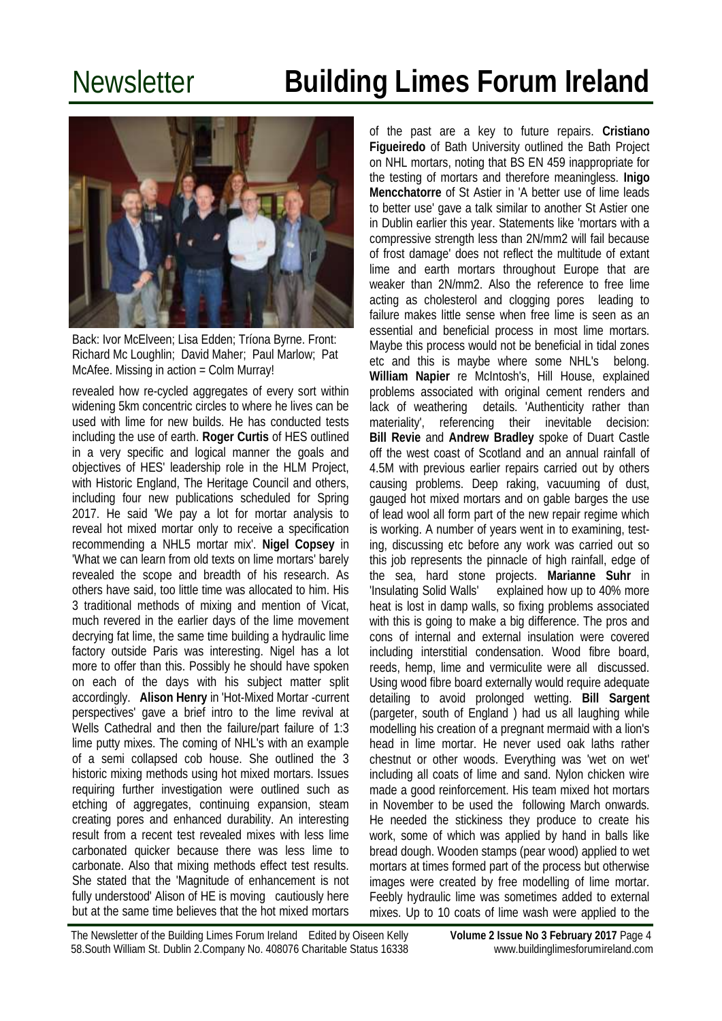

Back: Ivor McElveen; Lisa Edden; Tríona Byrne. Front: Richard Mc Loughlin; David Maher; Paul Marlow; Pat McAfee. Missing in action = Colm Murray!

revealed how re-cycled aggregates of every sort within widening 5km concentric circles to where he lives can be used with lime for new builds. He has conducted tests including the use of earth. **Roger Curtis** of HES outlined in a very specific and logical manner the goals and objectives of HES' leadership role in the HLM Project, with Historic England, The Heritage Council and others, including four new publications scheduled for Spring 2017. He said 'We pay a lot for mortar analysis to reveal hot mixed mortar only to receive a specification recommending a NHL5 mortar mix'. **Nigel Copsey** in 'What we can learn from old texts on lime mortars' barely revealed the scope and breadth of his research. As others have said, too little time was allocated to him. His 3 traditional methods of mixing and mention of Vicat, much revered in the earlier days of the lime movement decrying fat lime, the same time building a hydraulic lime factory outside Paris was interesting. Nigel has a lot more to offer than this. Possibly he should have spoken on each of the days with his subject matter split accordingly. **Alison Henry** in 'Hot-Mixed Mortar -current perspectives' gave a brief intro to the lime revival at Wells Cathedral and then the failure/part failure of 1:3 lime putty mixes. The coming of NHL's with an example of a semi collapsed cob house. She outlined the 3 historic mixing methods using hot mixed mortars. Issues requiring further investigation were outlined such as etching of aggregates, continuing expansion, steam creating pores and enhanced durability. An interesting result from a recent test revealed mixes with less lime carbonated quicker because there was less lime to carbonate. Also that mixing methods effect test results. She stated that the 'Magnitude of enhancement is not fully understood' Alison of HE is moving cautiously here but at the same time believes that the hot mixed mortars

of the past are a key to future repairs. **Cristiano Figueiredo** of Bath University outlined the Bath Project on NHL mortars, noting that BS EN 459 inappropriate for the testing of mortars and therefore meaningless. **Inigo Mencchatorre** of St Astier in 'A better use of lime leads to better use' gave a talk similar to another St Astier one in Dublin earlier this year. Statements like 'mortars with a compressive strength less than 2N/mm2 will fail because of frost damage' does not reflect the multitude of extant lime and earth mortars throughout Europe that are weaker than 2N/mm2. Also the reference to free lime acting as cholesterol and clogging pores leading to failure makes little sense when free lime is seen as an essential and beneficial process in most lime mortars. Maybe this process would not be beneficial in tidal zones etc and this is maybe where some NHL's belong. **William Napier** re McIntosh's, Hill House, explained problems associated with original cement renders and lack of weathering details. 'Authenticity rather than materiality', referencing their inevitable decision: **Bill Revie** and **Andrew Bradley** spoke of Duart Castle off the west coast of Scotland and an annual rainfall of 4.5M with previous earlier repairs carried out by others causing problems. Deep raking, vacuuming of dust, gauged hot mixed mortars and on gable barges the use of lead wool all form part of the new repair regime which is working. A number of years went in to examining, testing, discussing etc before any work was carried out so this job represents the pinnacle of high rainfall, edge of the sea, hard stone projects. **Marianne Suhr** in 'Insulating Solid Walls' explained how up to 40% more heat is lost in damp walls, so fixing problems associated with this is going to make a big difference. The pros and cons of internal and external insulation were covered including interstitial condensation. Wood fibre board, reeds, hemp, lime and vermiculite were all discussed. Using wood fibre board externally would require adequate detailing to avoid prolonged wetting. **Bill Sargent**  (pargeter, south of England ) had us all laughing while modelling his creation of a pregnant mermaid with a lion's head in lime mortar. He never used oak laths rather chestnut or other woods. Everything was 'wet on wet' including all coats of lime and sand. Nylon chicken wire made a good reinforcement. His team mixed hot mortars in November to be used the following March onwards. He needed the stickiness they produce to create his work, some of which was applied by hand in balls like bread dough. Wooden stamps (pear wood) applied to wet mortars at times formed part of the process but otherwise images were created by free modelling of lime mortar. Feebly hydraulic lime was sometimes added to external mixes. Up to 10 coats of lime wash were applied to the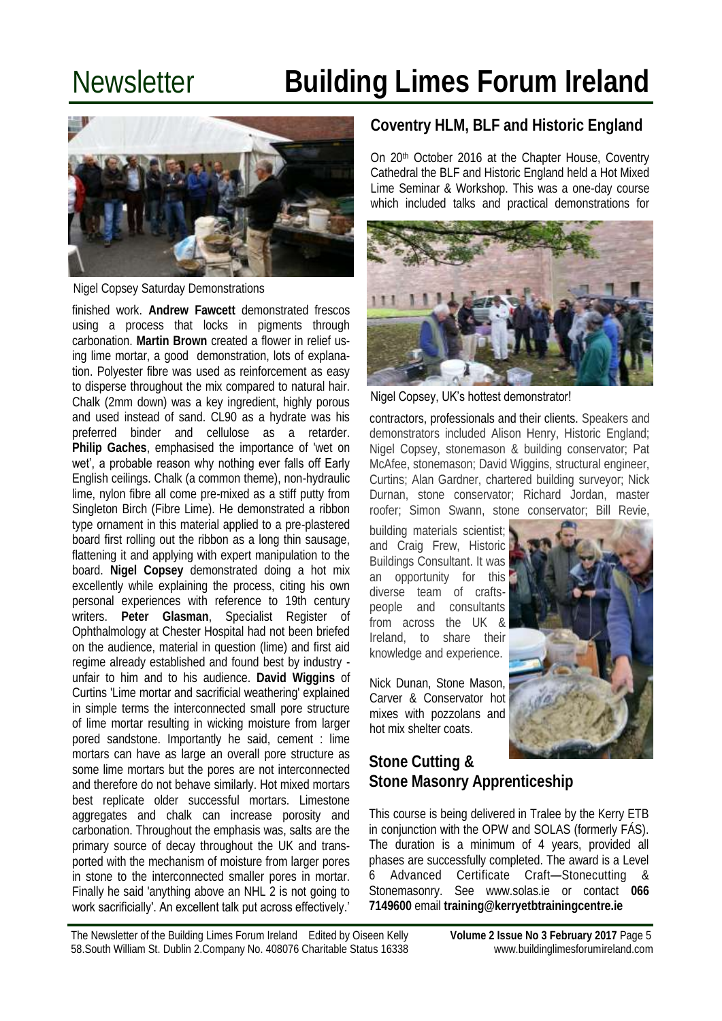

Nigel Copsey Saturday Demonstrations

finished work. **Andrew Fawcett** demonstrated frescos using a process that locks in pigments through carbonation. **Martin Brown** created a flower in relief using lime mortar, a good demonstration, lots of explanation. Polyester fibre was used as reinforcement as easy to disperse throughout the mix compared to natural hair. Chalk (2mm down) was a key ingredient, highly porous and used instead of sand. CL90 as a hydrate was his preferred binder and cellulose as a retarder. **Philip Gaches**, emphasised the importance of 'wet on wet', a probable reason why nothing ever falls off Early English ceilings. Chalk (a common theme), non-hydraulic lime, nylon fibre all come pre-mixed as a stiff putty from Singleton Birch (Fibre Lime). He demonstrated a ribbon type ornament in this material applied to a pre-plastered board first rolling out the ribbon as a long thin sausage, flattening it and applying with expert manipulation to the board. **Nigel Copsey** demonstrated doing a hot mix excellently while explaining the process, citing his own personal experiences with reference to 19th century writers. **Peter Glasman**, Specialist Register of Ophthalmology at Chester Hospital had not been briefed on the audience, material in question (lime) and first aid regime already established and found best by industry unfair to him and to his audience. **David Wiggins** of Curtins 'Lime mortar and sacrificial weathering' explained in simple terms the interconnected small pore structure of lime mortar resulting in wicking moisture from larger pored sandstone. Importantly he said, cement : lime mortars can have as large an overall pore structure as some lime mortars but the pores are not interconnected and therefore do not behave similarly. Hot mixed mortars best replicate older successful mortars. Limestone aggregates and chalk can increase porosity and carbonation. Throughout the emphasis was, salts are the primary source of decay throughout the UK and transported with the mechanism of moisture from larger pores in stone to the interconnected smaller pores in mortar. Finally he said 'anything above an NHL 2 is not going to work sacrificially'. An excellent talk put across effectively.'

### **Coventry HLM, BLF and Historic England**

On 20th October 2016 at the Chapter House, Coventry Cathedral the BLF and Historic England held a Hot Mixed Lime Seminar & Workshop. This was a one-day course which included talks and practical demonstrations for



Nigel Copsey, UK's hottest demonstrator!

contractors, professionals and their clients. Speakers and demonstrators included Alison Henry, Historic England; Nigel Copsey, stonemason & building conservator; Pat McAfee, stonemason; David Wiggins, structural engineer, Curtins; Alan Gardner, chartered building surveyor; Nick Durnan, stone conservator; Richard Jordan, master roofer; Simon Swann, stone conservator; Bill Revie,

building materials scientist; and Craig Frew, Historic Buildings Consultant. It was an opportunity for this diverse team of craftspeople and consultants from across the UK & Ireland, to share their knowledge and experience.

Nick Dunan, Stone Mason, Carver & Conservator hot mixes with pozzolans and hot mix shelter coats.



#### **Stone Cutting & Stone Masonry Apprenticeship**

This course is being delivered in Tralee by the Kerry ETB in conjunction with the OPW and SOLAS (formerly FÁS). The duration is a minimum of 4 years, provided all phases are successfully completed. The award is a Level 6 Advanced Certificate Craft—Stonecutting & Stonemasonry. See www.solas.ie or contact **066 7149600** email **training@kerryetbtrainingcentre.ie**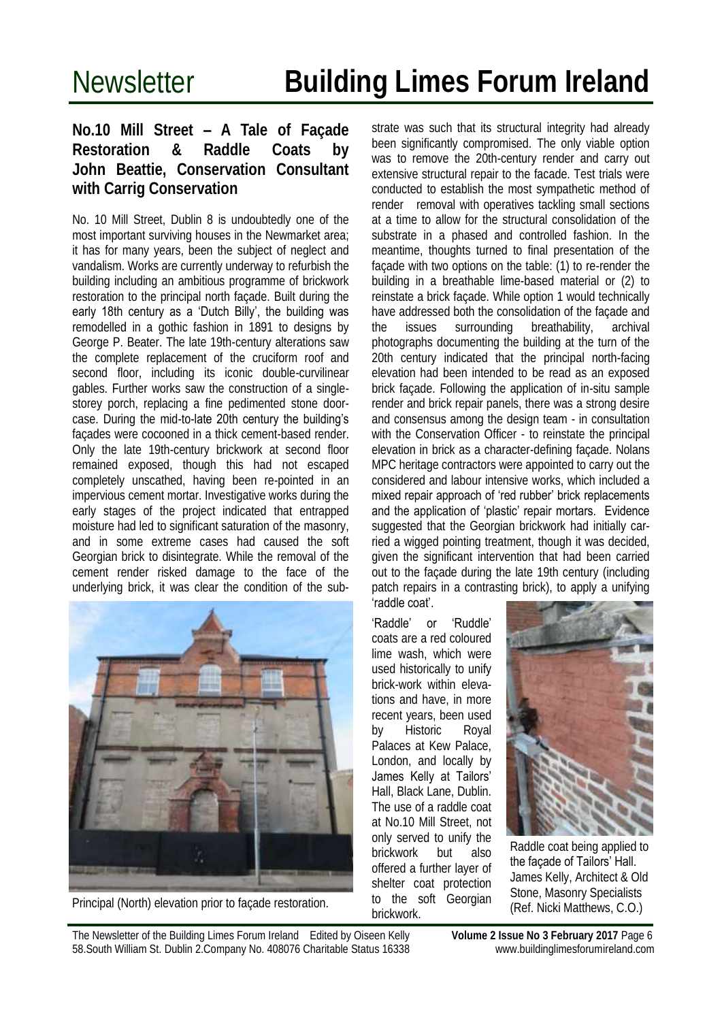#### **No.10 Mill Street – A Tale of Façade Restoration & Raddle Coats by John Beattie, Conservation Consultant with Carrig Conservation**

No. 10 Mill Street, Dublin 8 is undoubtedly one of the most important surviving houses in the Newmarket area; it has for many years, been the subject of neglect and vandalism. Works are currently underway to refurbish the building including an ambitious programme of brickwork restoration to the principal north façade. Built during the early 18th century as a 'Dutch Billy', the building was remodelled in a gothic fashion in 1891 to designs by George P. Beater. The late 19th-century alterations saw the complete replacement of the cruciform roof and second floor, including its iconic double-curvilinear gables. Further works saw the construction of a singlestorey porch, replacing a fine pedimented stone doorcase. During the mid-to-late 20th century the building's façades were cocooned in a thick cement-based render. Only the late 19th-century brickwork at second floor remained exposed, though this had not escaped completely unscathed, having been re-pointed in an impervious cement mortar. Investigative works during the early stages of the project indicated that entrapped moisture had led to significant saturation of the masonry, and in some extreme cases had caused the soft Georgian brick to disintegrate. While the removal of the cement render risked damage to the face of the underlying brick, it was clear the condition of the sub-



Principal (North) elevation prior to façade restoration.

strate was such that its structural integrity had already been significantly compromised. The only viable option was to remove the 20th-century render and carry out extensive structural repair to the facade. Test trials were conducted to establish the most sympathetic method of render removal with operatives tackling small sections at a time to allow for the structural consolidation of the substrate in a phased and controlled fashion. In the meantime, thoughts turned to final presentation of the façade with two options on the table: (1) to re-render the building in a breathable lime-based material or (2) to reinstate a brick façade. While option 1 would technically have addressed both the consolidation of the façade and the issues surrounding breathability, archival photographs documenting the building at the turn of the 20th century indicated that the principal north-facing elevation had been intended to be read as an exposed brick façade. Following the application of in-situ sample render and brick repair panels, there was a strong desire and consensus among the design team - in consultation with the Conservation Officer - to reinstate the principal elevation in brick as a character-defining façade. Nolans MPC heritage contractors were appointed to carry out the considered and labour intensive works, which included a mixed repair approach of 'red rubber' brick replacements and the application of 'plastic' repair mortars. Evidence suggested that the Georgian brickwork had initially carried a wigged pointing treatment, though it was decided, given the significant intervention that had been carried out to the façade during the late 19th century (including patch repairs in a contrasting brick), to apply a unifying ‗raddle coat'.

'Raddle' or 'Ruddle' coats are a red coloured lime wash, which were used historically to unify brick-work within elevations and have, in more recent years, been used by Historic Royal Palaces at Kew Palace, London, and locally by James Kelly at Tailors' Hall, Black Lane, Dublin. The use of a raddle coat at No.10 Mill Street, not only served to unify the brickwork but also offered a further layer of shelter coat protection to the soft Georgian

brickwork.



Raddle coat being applied to the façade of Tailors' Hall. James Kelly, Architect & Old Stone, Masonry Specialists (Ref. Nicki Matthews, C.O.)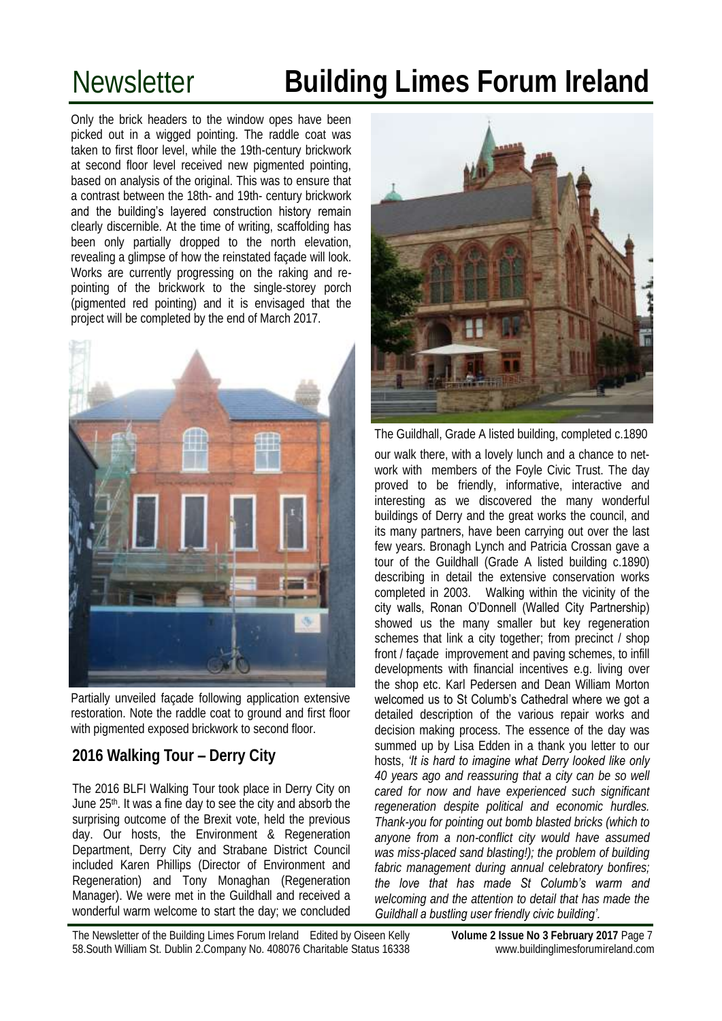Only the brick headers to the window opes have been picked out in a wigged pointing. The raddle coat was taken to first floor level, while the 19th-century brickwork at second floor level received new pigmented pointing, based on analysis of the original. This was to ensure that a contrast between the 18th- and 19th- century brickwork and the building's layered construction history remain clearly discernible. At the time of writing, scaffolding has been only partially dropped to the north elevation, revealing a glimpse of how the reinstated façade will look. Works are currently progressing on the raking and repointing of the brickwork to the single-storey porch (pigmented red pointing) and it is envisaged that the project will be completed by the end of March 2017.



Partially unveiled façade following application extensive restoration. Note the raddle coat to ground and first floor with pigmented exposed brickwork to second floor.

### **2016 Walking Tour – Derry City**

The 2016 BLFI Walking Tour took place in Derry City on June 25th. It was a fine day to see the city and absorb the surprising outcome of the Brexit vote, held the previous day. Our hosts, the Environment & Regeneration Department, Derry City and Strabane District Council included Karen Phillips (Director of Environment and Regeneration) and Tony Monaghan (Regeneration Manager). We were met in the Guildhall and received a wonderful warm welcome to start the day; we concluded



The Guildhall, Grade A listed building, completed c.1890

our walk there, with a lovely lunch and a chance to network with members of the Foyle Civic Trust. The day proved to be friendly, informative, interactive and interesting as we discovered the many wonderful buildings of Derry and the great works the council, and its many partners, have been carrying out over the last few years. Bronagh Lynch and Patricia Crossan gave a tour of the Guildhall (Grade A listed building c.1890) describing in detail the extensive conservation works completed in 2003. Walking within the vicinity of the city walls, Ronan O'Donnell (Walled City Partnership) showed us the many smaller but key regeneration schemes that link a city together; from precinct / shop front / façade improvement and paving schemes, to infill developments with financial incentives e.g. living over the shop etc. Karl Pedersen and Dean William Morton welcomed us to St Columb's Cathedral where we got a detailed description of the various repair works and decision making process. The essence of the day was summed up by Lisa Edden in a thank you letter to our hosts, *'It is hard to imagine what Derry looked like only 40 years ago and reassuring that a city can be so well cared for now and have experienced such significant regeneration despite political and economic hurdles. Thank-you for pointing out bomb blasted bricks (which to anyone from a non-conflict city would have assumed was miss-placed sand blasting!); the problem of building fabric management during annual celebratory bonfires; the love that has made St Columb's warm and welcoming and the attention to detail that has made the Guildhall a bustling user friendly civic building'.*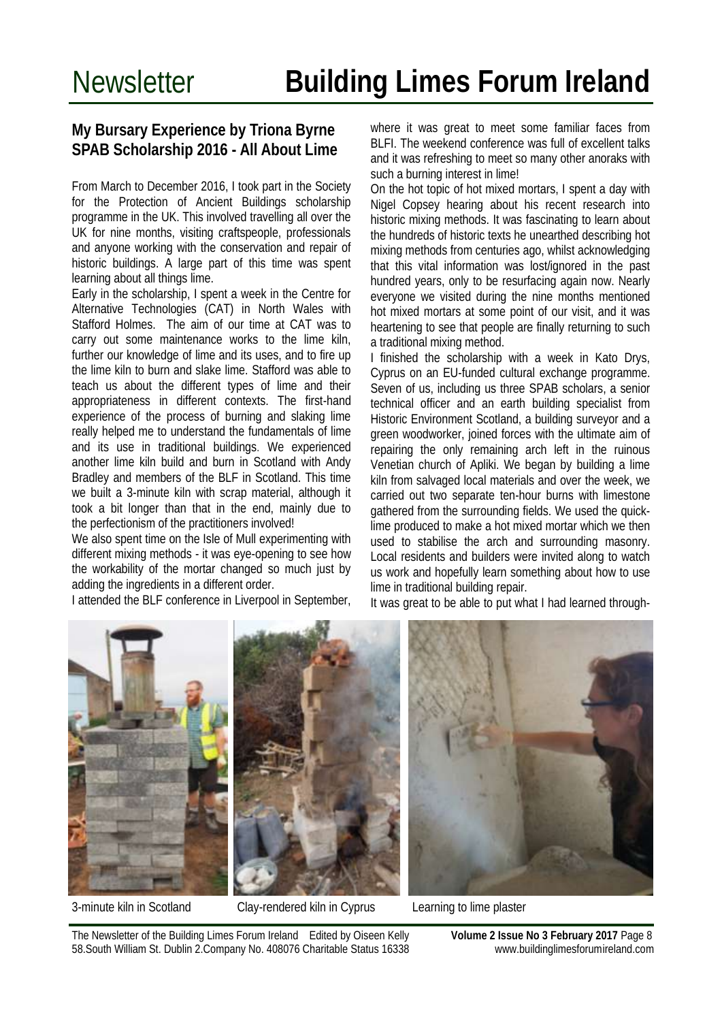#### **My Bursary Experience by Triona Byrne SPAB Scholarship 2016 - All About Lime**

From March to December 2016, I took part in the Society for the Protection of Ancient Buildings scholarship programme in the UK. This involved travelling all over the UK for nine months, visiting craftspeople, professionals and anyone working with the conservation and repair of historic buildings. A large part of this time was spent learning about all things lime.

Early in the scholarship, I spent a week in the Centre for Alternative Technologies (CAT) in North Wales with Stafford Holmes. The aim of our time at CAT was to carry out some maintenance works to the lime kiln, further our knowledge of lime and its uses, and to fire up the lime kiln to burn and slake lime. Stafford was able to teach us about the different types of lime and their appropriateness in different contexts. The first-hand experience of the process of burning and slaking lime really helped me to understand the fundamentals of lime and its use in traditional buildings. We experienced another lime kiln build and burn in Scotland with Andy Bradley and members of the BLF in Scotland. This time we built a 3-minute kiln with scrap material, although it took a bit longer than that in the end, mainly due to the perfectionism of the practitioners involved!

We also spent time on the Isle of Mull experimenting with different mixing methods - it was eye-opening to see how the workability of the mortar changed so much just by adding the ingredients in a different order.

I attended the BLF conference in Liverpool in September,

where it was great to meet some familiar faces from BLFI. The weekend conference was full of excellent talks and it was refreshing to meet so many other anoraks with such a burning interest in lime!

On the hot topic of hot mixed mortars, I spent a day with Nigel Copsey hearing about his recent research into historic mixing methods. It was fascinating to learn about the hundreds of historic texts he unearthed describing hot mixing methods from centuries ago, whilst acknowledging that this vital information was lost/ignored in the past hundred years, only to be resurfacing again now. Nearly everyone we visited during the nine months mentioned hot mixed mortars at some point of our visit, and it was heartening to see that people are finally returning to such a traditional mixing method.

I finished the scholarship with a week in Kato Drys, Cyprus on an EU-funded cultural exchange programme. Seven of us, including us three SPAB scholars, a senior technical officer and an earth building specialist from Historic Environment Scotland, a building surveyor and a green woodworker, joined forces with the ultimate aim of repairing the only remaining arch left in the ruinous Venetian church of Apliki. We began by building a lime kiln from salvaged local materials and over the week, we carried out two separate ten-hour burns with limestone gathered from the surrounding fields. We used the quicklime produced to make a hot mixed mortar which we then used to stabilise the arch and surrounding masonry. Local residents and builders were invited along to watch us work and hopefully learn something about how to use lime in traditional building repair.

It was great to be able to put what I had learned through-





3-minute kiln in Scotland Clay-rendered kiln in Cyprus Learning to lime plaster



The Newsletter of the Building Limes Forum Ireland Edited by Oiseen Kelly **Volume 2 Issue No 3 February 2017** Page 8 58.South William St. Dublin 2.Company No. 408076 Charitable Status 16338 www.buildinglimesforumireland.com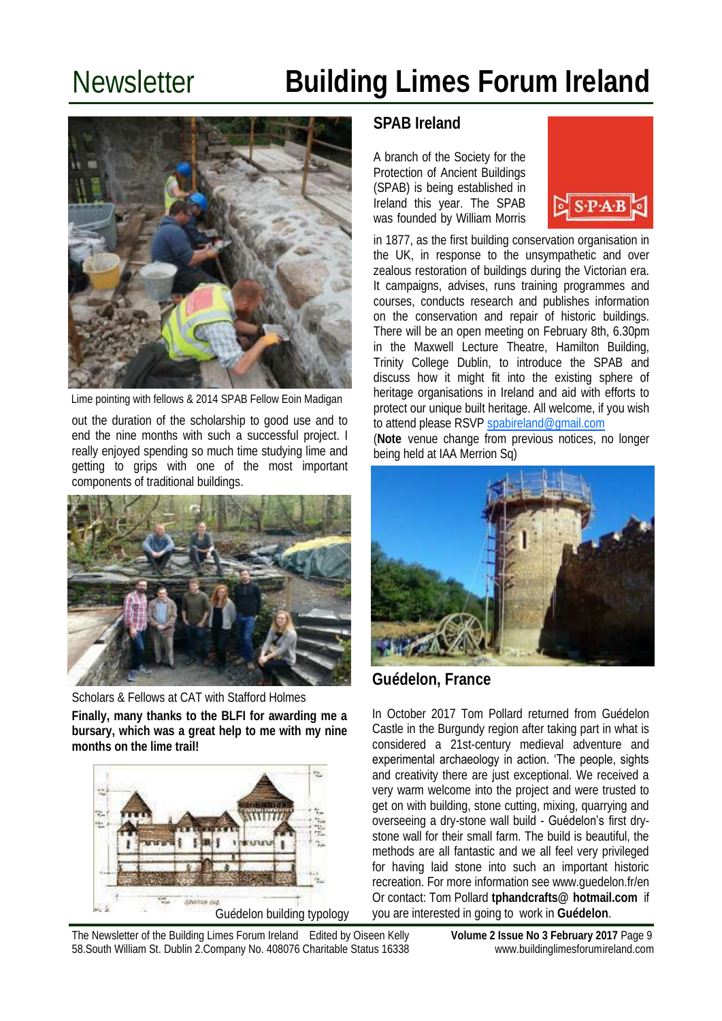

Lime pointing with fellows & 2014 SPAB Fellow Eoin Madigan

out the duration of the scholarship to good use and to end the nine months with such a successful project. I really enjoyed spending so much time studying lime and getting to grips with one of the most important components of traditional buildings.



**Finally, many thanks to the BLFI for awarding me a bursary, which was a great help to me with my nine months on the lime trail!** Scholars & Fellows at CAT with Stafford Holmes



### **SPAB Ireland**

A branch of the Society for the Protection of Ancient Buildings (SPAB) is being established in Ireland this year. The SPAB was founded by William Morris



in 1877, as the first building conservation organisation in the UK, in response to the unsympathetic and over zealous restoration of buildings during the Victorian era. It campaigns, advises, runs training programmes and courses, conducts research and publishes information on the conservation and repair of historic buildings. There will be an open meeting on February 8th, 6.30pm in the Maxwell Lecture Theatre, Hamilton Building, Trinity College Dublin, to introduce the SPAB and discuss how it might fit into the existing sphere of heritage organisations in Ireland and aid with efforts to protect our unique built heritage. All welcome, if you wish to attend please RSVP [spabireland@gmail.com](mailto:spabireland@gmail.com)

(**Note** venue change from previous notices, no longer being held at IAA Merrion Sq)



### **Guédelon, France**

In October 2017 Tom Pollard returned from [Guédelon](http://www.guedelon.fr/)  [Castle](http://www.guedelon.fr/) in the Burgundy region after taking part in what is considered a 21st-century medieval adventure and experimental archaeology in action. 'The people, sights and creativity there are just exceptional. We received a very warm welcome into the project and were trusted to get on with building, stone cutting, mixing, quarrying and overseeing a dry-stone wall build - Guédelon's first drystone wall for their small farm. The build is beautiful, the methods are all fantastic and we all feel very privileged for having laid stone into such an important historic recreation. For more information see www.guedelon.fr/en Or contact: Tom Pollard **tphandcrafts@ hotmail.com** if you are interested in going to work in **Guédelon**.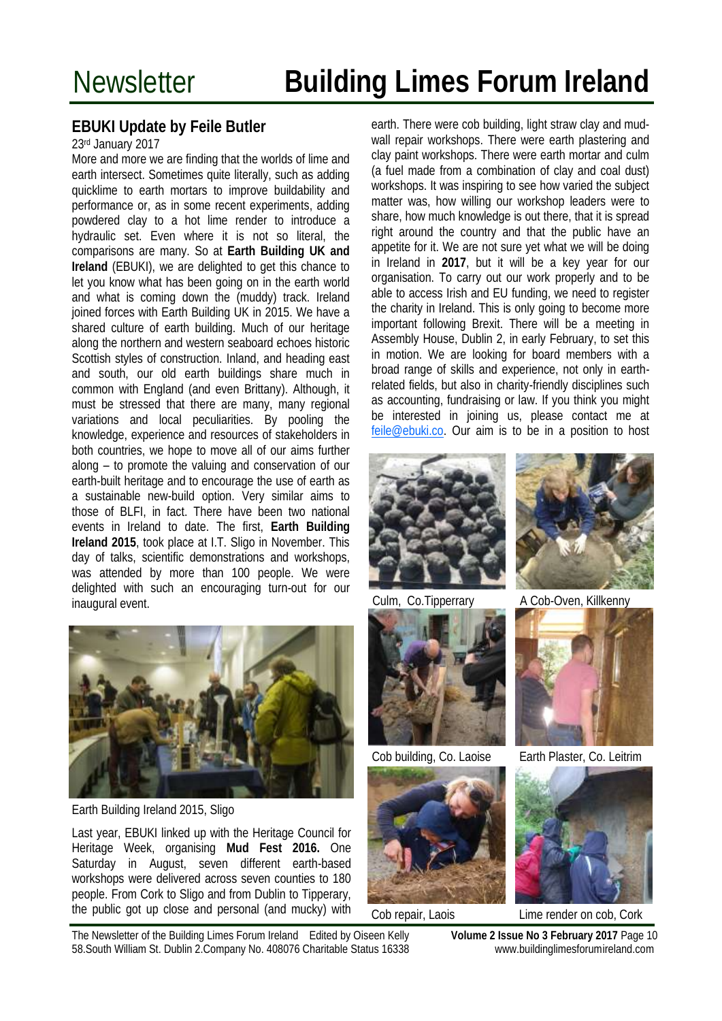### **EBUKI Update by Feile Butler**

#### 23rd January 2017

More and more we are finding that the worlds of lime and earth intersect. Sometimes quite literally, such as adding quicklime to earth mortars to improve buildability and performance or, as in some recent experiments, adding powdered clay to a hot lime render to introduce a hydraulic set. Even where it is not so literal, the comparisons are many. So at **Earth Building UK and Ireland** (EBUKI), we are delighted to get this chance to let you know what has been going on in the earth world and what is coming down the (muddy) track. Ireland joined forces with Earth Building UK in 2015. We have a shared culture of earth building. Much of our heritage along the northern and western seaboard echoes historic Scottish styles of construction. Inland, and heading east and south, our old earth buildings share much in common with England (and even Brittany). Although, it must be stressed that there are many, many regional variations and local peculiarities. By pooling the knowledge, experience and resources of stakeholders in both countries, we hope to move all of our aims further along – to promote the valuing and conservation of our earth-built heritage and to encourage the use of earth as a sustainable new-build option. Very similar aims to those of BLFI, in fact. There have been two national events in Ireland to date. The first, **Earth Building Ireland 2015**, took place at I.T. Sligo in November. This day of talks, scientific demonstrations and workshops, was attended by more than 100 people. We were delighted with such an encouraging turn-out for our inaugural event.



Earth Building Ireland 2015, Sligo

Last year, EBUKI linked up with the Heritage Council for Heritage Week, organising **Mud Fest 2016.** One Saturday in August, seven different earth-based workshops were delivered across seven counties to 180 people. From Cork to Sligo and from Dublin to Tipperary, the public got up close and personal (and mucky) with

earth. There were cob building, light straw clay and mudwall repair workshops. There were earth plastering and clay paint workshops. There were earth mortar and culm (a fuel made from a combination of clay and coal dust) workshops. It was inspiring to see how varied the subject matter was, how willing our workshop leaders were to share, how much knowledge is out there, that it is spread right around the country and that the public have an appetite for it. We are not sure yet what we will be doing in Ireland in **2017**, but it will be a key year for our organisation. To carry out our work properly and to be able to access Irish and EU funding, we need to register the charity in Ireland. This is only going to become more important following Brexit. There will be a meeting in Assembly House, Dublin 2, in early February, to set this in motion. We are looking for board members with a broad range of skills and experience, not only in earthrelated fields, but also in charity-friendly disciplines such as accounting, fundraising or law. If you think you might be interested in joining us, please contact me at [feile@ebuki.co.](mailto:feile@ebuki.co) Our aim is to be in a position to host



Culm, Co.Tipperrary







A Cob-Oven, Killkenny



Cob building, Co. Laoise Earth Plaster, Co. Leitrim



Cob repair, Laois Lime render on cob, Cork

The Newsletter of the Building Limes Forum Ireland Edited by Oiseen Kelly **Volume 2 Issue No 3 February 2017** Page 10 58.South William St. Dublin 2.Company No. 408076 Charitable Status 16338 www.buildinglimesforumireland.com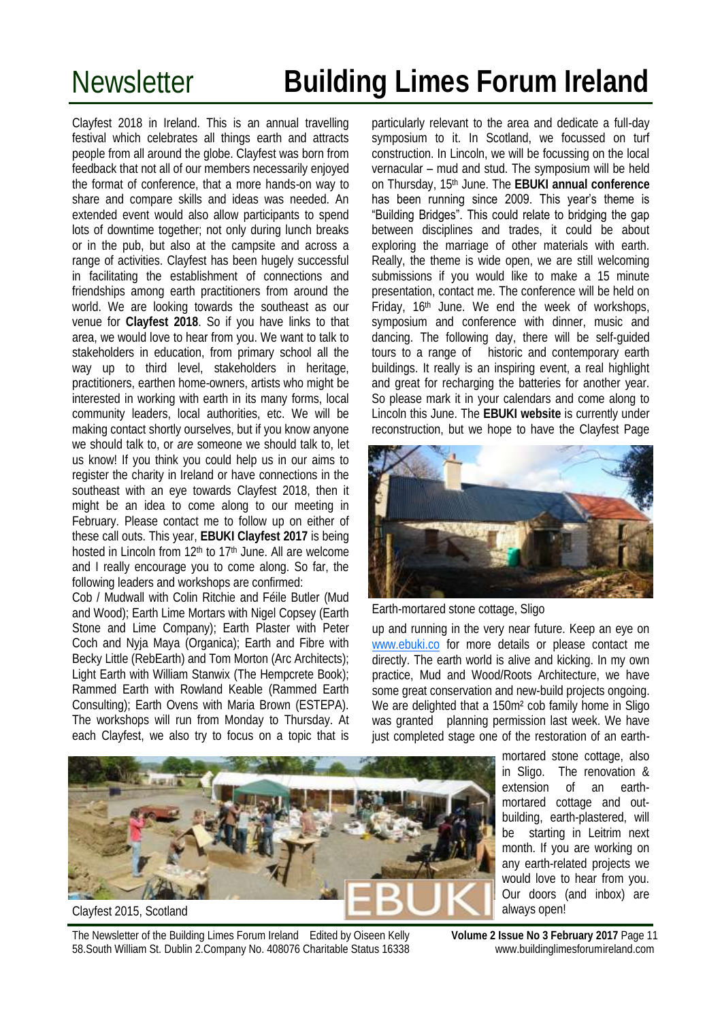Clayfest 2018 in Ireland. This is an annual travelling festival which celebrates all things earth and attracts people from all around the globe. Clayfest was born from feedback that not all of our members necessarily enjoyed the format of conference, that a more hands-on way to share and compare skills and ideas was needed. An extended event would also allow participants to spend lots of downtime together; not only during lunch breaks or in the pub, but also at the campsite and across a range of activities. Clayfest has been hugely successful in facilitating the establishment of connections and friendships among earth practitioners from around the world. We are looking towards the southeast as our venue for **Clayfest 2018**. So if you have links to that area, we would love to hear from you. We want to talk to stakeholders in education, from primary school all the way up to third level, stakeholders in heritage, practitioners, earthen home-owners, artists who might be interested in working with earth in its many forms, local community leaders, local authorities, etc. We will be making contact shortly ourselves, but if you know anyone we should talk to, or *are* someone we should talk to, let us know! If you think you could help us in our aims to register the charity in Ireland or have connections in the southeast with an eye towards Clayfest 2018, then it might be an idea to come along to our meeting in February. Please contact me to follow up on either of these call outs. This year, **EBUKI Clayfest 2017** is being hosted in Lincoln from 12<sup>th</sup> to 17<sup>th</sup> June. All are welcome and I really encourage you to come along. So far, the following leaders and workshops are confirmed:

Cob / Mudwall with Colin Ritchie and Féile Butler (Mud and Wood); Earth Lime Mortars with Nigel Copsey (Earth Stone and Lime Company); Earth Plaster with Peter Coch and Nyja Maya (Organica); Earth and Fibre with Becky Little (RebEarth) and Tom Morton (Arc Architects); Light Earth with William Stanwix (The Hempcrete Book); Rammed Earth with Rowland Keable (Rammed Earth Consulting); Earth Ovens with Maria Brown (ESTEPA). The workshops will run from Monday to Thursday. At each Clayfest, we also try to focus on a topic that is

particularly relevant to the area and dedicate a full-day symposium to it. In Scotland, we focussed on turf construction. In Lincoln, we will be focussing on the local vernacular – mud and stud. The symposium will be held on Thursday, 15th June. The **EBUKI annual conference**  has been running since 2009. This year's theme is "Building Bridges". This could relate to bridging the gap between disciplines and trades, it could be about exploring the marriage of other materials with earth. Really, the theme is wide open, we are still welcoming submissions if you would like to make a 15 minute presentation, contact me. The conference will be held on Friday, 16th June. We end the week of workshops, symposium and conference with dinner, music and dancing. The following day, there will be self-guided tours to a range of historic and contemporary earth buildings. It really is an inspiring event, a real highlight and great for recharging the batteries for another year. So please mark it in your calendars and come along to Lincoln this June. The **EBUKI website** is currently under reconstruction, but we hope to have the Clayfest Page



Earth-mortared stone cottage, Sligo

up and running in the very near future. Keep an eye on [www.ebuki.co](http://www.ebuki.co) for more details or please contact me directly. The earth world is alive and kicking. In my own practice, Mud and Wood/Roots Architecture, we have some great conservation and new-build projects ongoing. We are delighted that a 150m² cob family home in Sligo was granted planning permission last week. We have just completed stage one of the restoration of an earth-

Clayfest 2015, Scotland

mortared stone cottage, also in Sligo. The renovation & extension of an earthmortared cottage and outbuilding, earth-plastered, will be starting in Leitrim next month. If you are working on any earth-related projects we would love to hear from you. Our doors (and inbox) are always open!

The Newsletter of the Building Limes Forum Ireland Edited by Oiseen Kelly **Volume 2 Issue No 3 February 2017** Page 11 58.South William St. Dublin 2.Company No. 408076 Charitable Status 16338 www.buildinglimesforumireland.com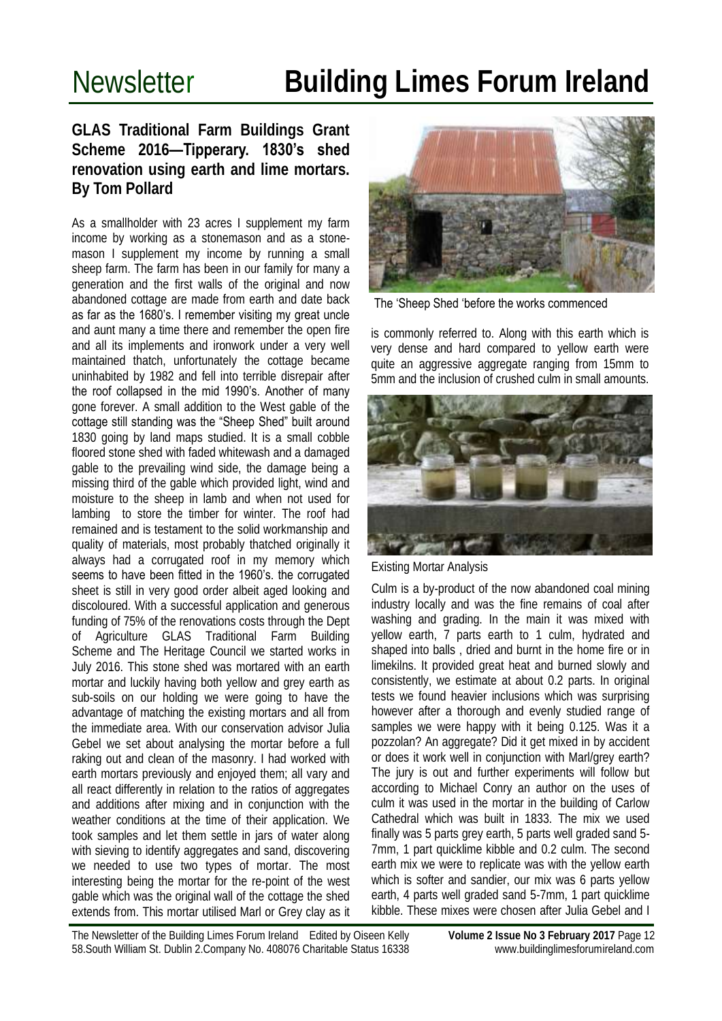### **GLAS Traditional Farm Buildings Grant Scheme 2016—Tipperary. 1830's shed renovation using earth and lime mortars. By Tom Pollard**

As a smallholder with 23 acres I supplement my farm income by working as a stonemason and as a stonemason I supplement my income by running a small sheep farm. The farm has been in our family for many a generation and the first walls of the original and now abandoned cottage are made from earth and date back as far as the 1680's. I remember visiting my great uncle and aunt many a time there and remember the open fire and all its implements and ironwork under a very well maintained thatch, unfortunately the cottage became uninhabited by 1982 and fell into terrible disrepair after the roof collapsed in the mid 1990's. Another of many gone forever. A small addition to the West gable of the cottage still standing was the "Sheep Shed" built around 1830 going by land maps studied. It is a small cobble floored stone shed with faded whitewash and a damaged gable to the prevailing wind side, the damage being a missing third of the gable which provided light, wind and moisture to the sheep in lamb and when not used for lambing to store the timber for winter. The roof had remained and is testament to the solid workmanship and quality of materials, most probably thatched originally it always had a corrugated roof in my memory which seems to have been fitted in the 1960's. the corrugated sheet is still in very good order albeit aged looking and discoloured. With a successful application and generous funding of 75% of the renovations costs through the Dept of Agriculture GLAS Traditional Farm Building Scheme and The Heritage Council we started works in July 2016. This stone shed was mortared with an earth mortar and luckily having both yellow and grey earth as sub-soils on our holding we were going to have the advantage of matching the existing mortars and all from the immediate area. With our conservation advisor Julia Gebel we set about analysing the mortar before a full raking out and clean of the masonry. I had worked with earth mortars previously and enjoyed them; all vary and all react differently in relation to the ratios of aggregates and additions after mixing and in conjunction with the weather conditions at the time of their application. We took samples and let them settle in jars of water along with sieving to identify aggregates and sand, discovering we needed to use two types of mortar. The most interesting being the mortar for the re-point of the west gable which was the original wall of the cottage the shed extends from. This mortar utilised Marl or Grey clay as it



The 'Sheep Shed 'before the works commenced

is commonly referred to. Along with this earth which is very dense and hard compared to yellow earth were quite an aggressive aggregate ranging from 15mm to 5mm and the inclusion of crushed culm in small amounts.



Existing Mortar Analysis

Culm is a by-product of the now abandoned coal mining industry locally and was the fine remains of coal after washing and grading. In the main it was mixed with yellow earth, 7 parts earth to 1 culm, hydrated and shaped into balls , dried and burnt in the home fire or in limekilns. It provided great heat and burned slowly and consistently, we estimate at about 0.2 parts. In original tests we found heavier inclusions which was surprising however after a thorough and evenly studied range of samples we were happy with it being 0.125. Was it a pozzolan? An aggregate? Did it get mixed in by accident or does it work well in conjunction with Marl/grey earth? The jury is out and further experiments will follow but according to Michael Conry an author on the uses of culm it was used in the mortar in the building of Carlow Cathedral which was built in 1833. The mix we used finally was 5 parts grey earth, 5 parts well graded sand 5- 7mm, 1 part quicklime kibble and 0.2 culm. The second earth mix we were to replicate was with the yellow earth which is softer and sandier, our mix was 6 parts yellow earth, 4 parts well graded sand 5-7mm, 1 part quicklime kibble. These mixes were chosen after Julia Gebel and I

The Newsletter of the Building Limes Forum Ireland Edited by Oiseen Kelly **Volume 2 Issue No 3 February 2017** Page 12 58.South William St. Dublin 2.Company No. 408076 Charitable Status 16338 www.buildinglimesforumireland.com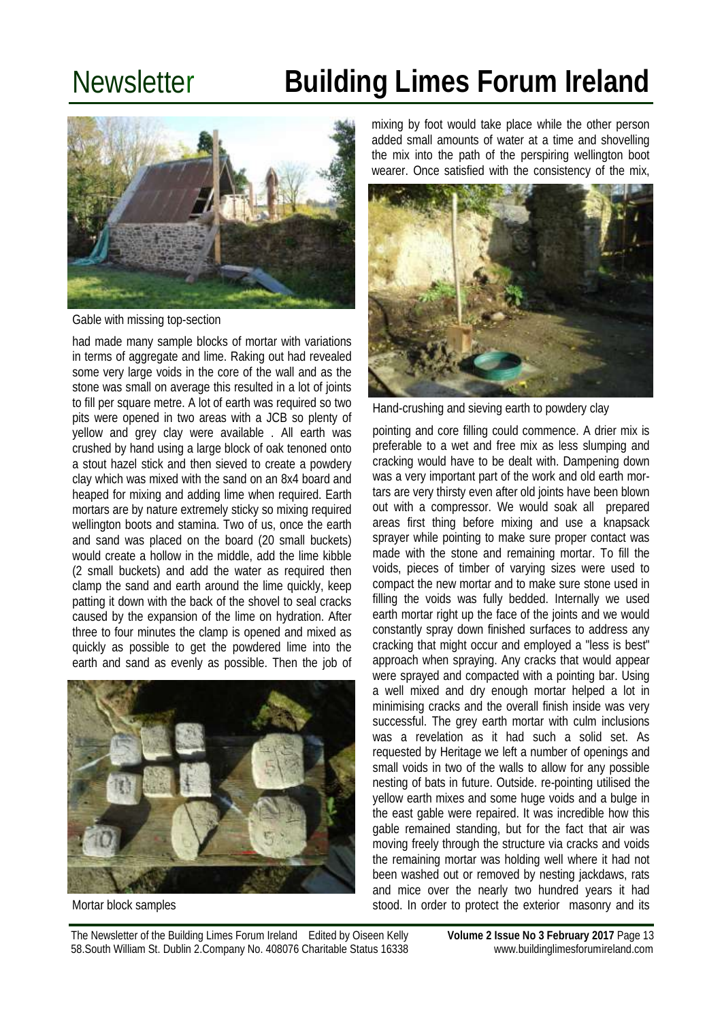

Gable with missing top-section

had made many sample blocks of mortar with variations in terms of aggregate and lime. Raking out had revealed some very large voids in the core of the wall and as the stone was small on average this resulted in a lot of joints to fill per square metre. A lot of earth was required so two pits were opened in two areas with a JCB so plenty of yellow and grey clay were available . All earth was crushed by hand using a large block of oak tenoned onto a stout hazel stick and then sieved to create a powdery clay which was mixed with the sand on an 8x4 board and heaped for mixing and adding lime when required. Earth mortars are by nature extremely sticky so mixing required wellington boots and stamina. Two of us, once the earth and sand was placed on the board (20 small buckets) would create a hollow in the middle, add the lime kibble (2 small buckets) and add the water as required then clamp the sand and earth around the lime quickly, keep patting it down with the back of the shovel to seal cracks caused by the expansion of the lime on hydration. After three to four minutes the clamp is opened and mixed as quickly as possible to get the powdered lime into the earth and sand as evenly as possible. Then the job of



Mortar block samples

mixing by foot would take place while the other person added small amounts of water at a time and shovelling the mix into the path of the perspiring wellington boot wearer. Once satisfied with the consistency of the mix,



Hand-crushing and sieving earth to powdery clay

pointing and core filling could commence. A drier mix is preferable to a wet and free mix as less slumping and cracking would have to be dealt with. Dampening down was a very important part of the work and old earth mortars are very thirsty even after old joints have been blown out with a compressor. We would soak all prepared areas first thing before mixing and use a knapsack sprayer while pointing to make sure proper contact was made with the stone and remaining mortar. To fill the voids, pieces of timber of varying sizes were used to compact the new mortar and to make sure stone used in filling the voids was fully bedded. Internally we used earth mortar right up the face of the joints and we would constantly spray down finished surfaces to address any cracking that might occur and employed a "less is best" approach when spraying. Any cracks that would appear were sprayed and compacted with a pointing bar. Using a well mixed and dry enough mortar helped a lot in minimising cracks and the overall finish inside was very successful. The grey earth mortar with culm inclusions was a revelation as it had such a solid set. As requested by Heritage we left a number of openings and small voids in two of the walls to allow for any possible nesting of bats in future. Outside. re-pointing utilised the yellow earth mixes and some huge voids and a bulge in the east gable were repaired. It was incredible how this gable remained standing, but for the fact that air was moving freely through the structure via cracks and voids the remaining mortar was holding well where it had not been washed out or removed by nesting jackdaws, rats and mice over the nearly two hundred years it had stood. In order to protect the exterior masonry and its

The Newsletter of the Building Limes Forum Ireland Edited by Oiseen Kelly **Volume 2 Issue No 3 February 2017** Page 13 58.South William St. Dublin 2.Company No. 408076 Charitable Status 16338 www.buildinglimesforumireland.com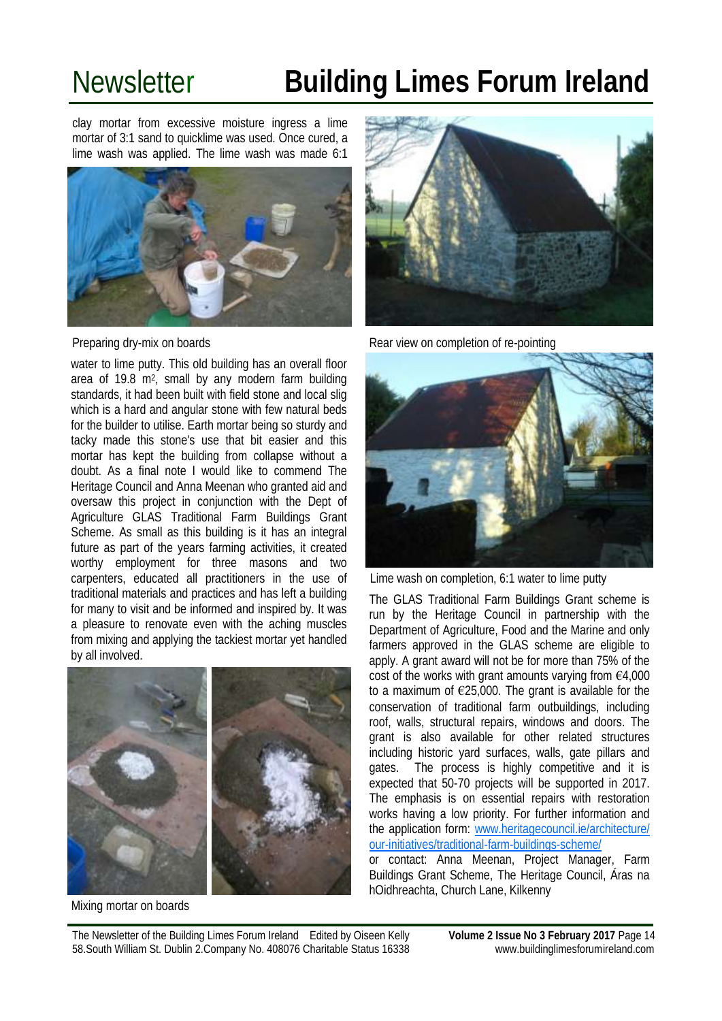clay mortar from excessive moisture ingress a lime mortar of 3:1 sand to quicklime was used. Once cured, a lime wash was applied. The lime wash was made 6:1



Preparing dry-mix on boards

water to lime putty. This old building has an overall floor area of 19.8 m<sup>2</sup> , small by any modern farm building standards, it had been built with field stone and local slig which is a hard and angular stone with few natural beds for the builder to utilise. Earth mortar being so sturdy and tacky made this stone's use that bit easier and this mortar has kept the building from collapse without a doubt. As a final note I would like to commend The Heritage Council and Anna Meenan who granted aid and oversaw this project in conjunction with the Dept of Agriculture GLAS Traditional Farm Buildings Grant Scheme. As small as this building is it has an integral future as part of the years farming activities, it created worthy employment for three masons and two carpenters, educated all practitioners in the use of traditional materials and practices and has left a building for many to visit and be informed and inspired by. It was a pleasure to renovate even with the aching muscles from mixing and applying the tackiest mortar yet handled by all involved.



Mixing mortar on boards



Rear view on completion of re-pointing



Lime wash on completion, 6:1 water to lime putty

The GLAS Traditional Farm Buildings Grant scheme is run by the Heritage Council in partnership with the Department of Agriculture, Food and the Marine and only farmers approved in the GLAS scheme are eligible to apply. A grant award will not be for more than 75% of the cost of the works with grant amounts varying from  $\epsilon$ 4,000 to a maximum of  $E25,000$ . The grant is available for the conservation of traditional farm outbuildings, including roof, walls, structural repairs, windows and doors. The grant is also available for other related structures including historic yard surfaces, walls, gate pillars and gates. The process is highly competitive and it is expected that 50-70 projects will be supported in 2017. The emphasis is on essential repairs with restoration works having a low priority. For further information and the application form: [www.heritagecouncil.ie/architecture/](http://www.heritagecouncil.ie/architecture/our-initiatives/traditional-farm-buildings-scheme/) [our-initiatives/traditional-farm-buildings-scheme/](http://www.heritagecouncil.ie/architecture/our-initiatives/traditional-farm-buildings-scheme/) 

or contact: Anna Meenan, Project Manager, Farm Buildings Grant Scheme, The Heritage Council, Áras na hOidhreachta, Church Lane, Kilkenny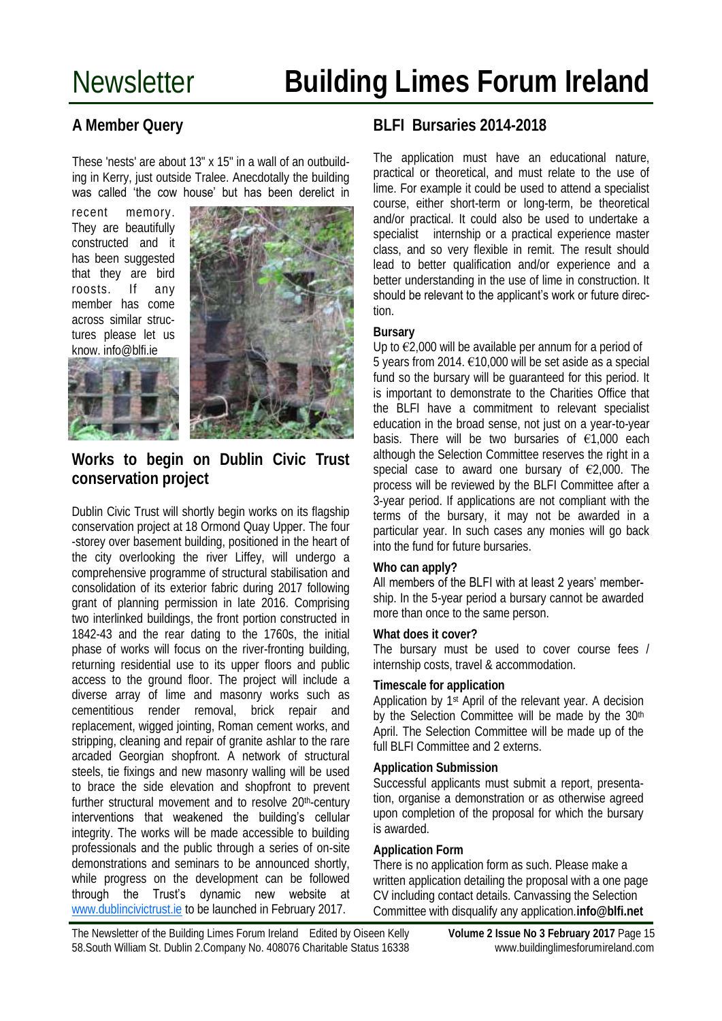### **A Member Query**

These 'nests' are about 13" x 15" in a wall of an outbuilding in Kerry, just outside Tralee. Anecdotally the building was called 'the cow house' but has been derelict in

recent memory. They are beautifully constructed and it has been suggested that they are bird roosts. If any member has come across similar structures please let us know. info@blfi.ie





#### **Works to begin on Dublin Civic Trust conservation project**

Dublin Civic Trust will shortly begin works on its flagship conservation project at 18 Ormond Quay Upper. The four -storey over basement building, positioned in the heart of the city overlooking the river Liffey, will undergo a comprehensive programme of structural stabilisation and consolidation of its exterior fabric during 2017 following grant of planning permission in late 2016. Comprising two interlinked buildings, the front portion constructed in 1842-43 and the rear dating to the 1760s, the initial phase of works will focus on the river-fronting building, returning residential use to its upper floors and public access to the ground floor. The project will include a diverse array of lime and masonry works such as cementitious render removal, brick repair and replacement, wigged jointing, Roman cement works, and stripping, cleaning and repair of granite ashlar to the rare arcaded Georgian shopfront. A network of structural steels, tie fixings and new masonry walling will be used to brace the side elevation and shopfront to prevent further structural movement and to resolve 20<sup>th</sup>-century interventions that weakened the building's cellular integrity. The works will be made accessible to building professionals and the public through a series of on-site demonstrations and seminars to be announced shortly, while progress on the development can be followed through the Trust's dynamic new website at [www.dublincivictrust.ie](http://scanmail.trustwave.com/?c=6600&d=-IqQ2KW3B7g_0mGYw7AH2kYzuqYoP82JSoBdrxdGpQ&s=342&u=http%3a%2f%2fwww%2edublincivictrust%2eie) to be launched in February 2017.

### **BLFI Bursaries 2014-2018**

The application must have an educational nature, practical or theoretical, and must relate to the use of lime. For example it could be used to attend a specialist course, either short-term or long-term, be theoretical and/or practical. It could also be used to undertake a specialist internship or a practical experience master class, and so very flexible in remit. The result should lead to better qualification and/or experience and a better understanding in the use of lime in construction. It should be relevant to the applicant's work or future direction.

#### **Bursary**

Up to  $\epsilon$ 2,000 will be available per annum for a period of 5 years from 2014. €10,000 will be set aside as a special fund so the bursary will be guaranteed for this period. It is important to demonstrate to the Charities Office that the BLFI have a commitment to relevant specialist education in the broad sense, not just on a year-to-year basis. There will be two bursaries of  $\epsilon$ 1,000 each although the Selection Committee reserves the right in a special case to award one bursary of  $E2,000$ . The process will be reviewed by the BLFI Committee after a 3-year period. If applications are not compliant with the terms of the bursary, it may not be awarded in a particular year. In such cases any monies will go back into the fund for future bursaries.

#### **Who can apply?**

#### All members of the BLFI with at least 2 years' member-

ship. In the 5-year period a bursary cannot be awarded more than once to the same person.

#### **What does it cover?**

The bursary must be used to cover course fees / internship costs, travel & accommodation.

#### **Timescale for application**

Application by 1st April of the relevant year. A decision by the Selection Committee will be made by the 30<sup>th</sup> April. The Selection Committee will be made up of the full BLFI Committee and 2 externs.

#### **Application Submission**

Successful applicants must submit a report, presentation, organise a demonstration or as otherwise agreed upon completion of the proposal for which the bursary is awarded.

#### **Application Form**

There is no application form as such. Please make a written application detailing the proposal with a one page CV including contact details. Canvassing the Selection Committee with disqualify any application.**info@blfi.net** 

The Newsletter of the Building Limes Forum Ireland Edited by Oiseen Kelly **Volume 2 Issue No 3 February 2017** Page 15 58.South William St. Dublin 2.Company No. 408076 Charitable Status 16338 www.buildinglimesforumireland.com